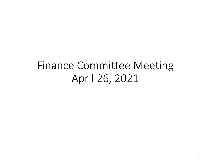## Finance Committee Meeting April 26, 2021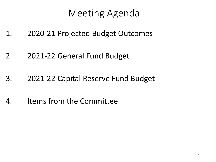## Meeting Agenda

- 1. 2020-21 Projected Budget Outcomes
- 2. 2021-22 General Fund Budget
- 3. 2021-22 Capital Reserve Fund Budget
- 4. Items from the Committee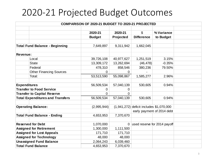## 2020-21 Projected Budget Outcomes

|                                    | COMPARISON OF 2020-21 BUDGET TO 2020-21 PROJECTED |                |                |                                            |                              |  |  |  |  |  |
|------------------------------------|---------------------------------------------------|----------------|----------------|--------------------------------------------|------------------------------|--|--|--|--|--|
|                                    |                                                   |                |                |                                            |                              |  |  |  |  |  |
|                                    |                                                   | 2020-21        | 2020-21        | \$                                         | % Variance                   |  |  |  |  |  |
|                                    |                                                   | <b>Budget</b>  | Projected      | <b>Difference</b>                          | to Budget                    |  |  |  |  |  |
|                                    |                                                   |                |                |                                            |                              |  |  |  |  |  |
|                                    | <b>Total Fund Balance - Beginning</b>             | 7,649,897      | 9,311,942      | 1,662,045                                  |                              |  |  |  |  |  |
|                                    |                                                   |                |                |                                            |                              |  |  |  |  |  |
| Revenue:                           |                                                   |                |                |                                            |                              |  |  |  |  |  |
| Local                              |                                                   | 39,726,108     | 40,977,627     | 1,251,519                                  | 3.15%                        |  |  |  |  |  |
| <b>State</b>                       |                                                   | 13,309,172     | 13,262,694     | (46, 478)                                  | $-0.35%$                     |  |  |  |  |  |
| Federal                            |                                                   | 478,310        | 858,546        | 380,236                                    | 79.50%                       |  |  |  |  |  |
|                                    | <b>Other Financing Sources</b>                    | $\overline{0}$ | $\overline{0}$ |                                            |                              |  |  |  |  |  |
| Total:                             |                                                   | 53,513,590     | 55,098,867     | 1,585,277                                  | 2.96%                        |  |  |  |  |  |
|                                    |                                                   |                |                |                                            |                              |  |  |  |  |  |
| <b>Expenditures</b>                |                                                   | 56,509,534     | 57,040,139     | 530,605                                    | 0.94%                        |  |  |  |  |  |
| <b>Transfer to Food Service</b>    |                                                   | 0              | 0              |                                            |                              |  |  |  |  |  |
| <b>Transfer to Capital Reserve</b> |                                                   | 0              | 0              |                                            |                              |  |  |  |  |  |
|                                    | <b>Total Expenditures and Transfers</b>           | 56,509,534     | 57,040,139     | 530,605                                    | 0.94%                        |  |  |  |  |  |
|                                    |                                                   |                |                |                                            |                              |  |  |  |  |  |
| <b>Operating Balance:</b>          |                                                   | (2,995,944)    |                | $(1,941,272)$ deficit includes \$1,070,000 |                              |  |  |  |  |  |
|                                    |                                                   |                |                |                                            | early payment of 2014 debt   |  |  |  |  |  |
| <b>Total Fund Balance - Ending</b> |                                                   | 4,653,953      | 7,370,670      |                                            |                              |  |  |  |  |  |
|                                    |                                                   |                |                |                                            |                              |  |  |  |  |  |
| <b>Reserved for Debt</b>           |                                                   | 1,070,000      | $\mathbf 0$    |                                            | used reserve for 2014 payoff |  |  |  |  |  |
| <b>Assigned for Retirement</b>     |                                                   | 1,300,000      | 1,111,500      |                                            |                              |  |  |  |  |  |
| <b>Assigned for Lost Appeals</b>   |                                                   | 171,710        | 171,710        |                                            |                              |  |  |  |  |  |
| <b>Assigned for Technology</b>     |                                                   | 48,000         | 48,000         |                                            |                              |  |  |  |  |  |
| <b>Unassigned Fund Balance</b>     |                                                   | 2,064,243      | 6,039,460      |                                            |                              |  |  |  |  |  |
| <b>Total Fund Balance</b>          |                                                   | 4,653,953      | 7,370,670      |                                            |                              |  |  |  |  |  |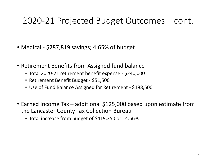#### 2020-21 Projected Budget Outcomes – cont.

- Medical \$287,819 savings; 4.65% of budget
- Retirement Benefits from Assigned fund balance
	- Total 2020-21 retirement benefit expense \$240,000
	- Retirement Benefit Budget \$51,500
	- Use of Fund Balance Assigned for Retirement \$188,500
- Earned Income Tax additional \$125,000 based upon estimate from the Lancaster County Tax Collection Bureau
	- Total increase from budget of \$419,350 or 14.56%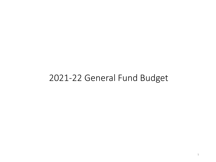#### 2021-22 General Fund Budget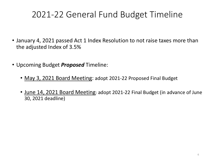## 2021-22 General Fund Budget Timeline

- January 4, 2021 passed Act 1 Index Resolution to not raise taxes more than the adjusted Index of 3.5%
- Upcoming Budget *Proposed* Timeline:
	- May 3, 2021 Board Meeting: adopt 2021-22 Proposed Final Budget
	- June 14, 2021 Board Meeting: adopt 2021-22 Final Budget (in advance of June 30, 2021 deadline)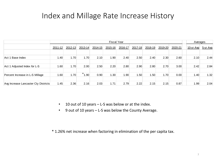#### Index and Millage Rate Increase History

|                                      |         | <b>Fiscal Year</b> |             |             |         |         |         | Averages |         |         |           |          |
|--------------------------------------|---------|--------------------|-------------|-------------|---------|---------|---------|----------|---------|---------|-----------|----------|
|                                      | 2011-12 | 2012-13            | $2013 - 14$ | $2014 - 15$ | 2015-16 | 2016-17 | 2017-18 | 2018-19  | 2019-20 | 2020-21 | 10-yr Avg | 5-yr Avg |
| Act 1 Base Index                     | 1.40    | 1.70               | 1.70        | 2.10        | 1.90    | 2.40    | 2.50    | 2.40     | 2.30    | 2.60    | 2.10      | 2.44     |
| Act 1 Adjusted Index for L-S         | 1.60    | 1.70               | 2.00        | 2.50        | 2.20    | 2.80    | 2.90    | 2.80     | 2.70    | 3.00    | 2.42      | 2.84     |
| Percent Increase in L-S Millage      | 1.60    | 1.70               | $*_{1.90}$  | 0.90        | 1.30    | 1.90    | 1.50    | 1.50     | 1.70    | 0.00    | 1.40      | 1.32     |
| Avg Increase Lancaster Cty Districts | 1.45    | 2.36               | 2.16        | 2.03        | 1.71    | 2.79    | 2.22    | 2.15     | 2.15    | 0.87    | 1.99      | 2.04     |

- 10 out of 10 years L-S was below or at the index.
- 9 out of 10 years L-S was below the County Average.

\* 1.26% net increase when factoring in elimination of the per capita tax.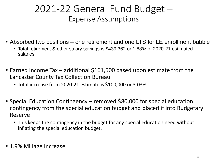### 2021-22 General Fund Budget – Expense Assumptions

- Absorbed two positions one retirement and one LTS for LE enrollment bubble
	- Total retirement & other salary savings is \$439,362 or 1.88% of 2020-21 estimated salaries.
- Earned Income Tax additional \$161,500 based upon estimate from the Lancaster County Tax Collection Bureau
	- Total increase from 2020-21 estimate is \$100,000 or 3.03%
- Special Education Contingency removed \$80,000 for special education contingency from the special education budget and placed it into Budgetary Reserve
	- This keeps the contingency in the budget for any special education need without inflating the special education budget.
- 1.9% Millage Increase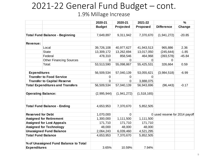#### 2021-22 General Fund Budget – cont. 1.9% Millage Increase

|                           |                                         | 2020-21       | 2020-21     | 2021-22        |                                | $\frac{0}{0}$ |
|---------------------------|-----------------------------------------|---------------|-------------|----------------|--------------------------------|---------------|
|                           |                                         | <b>Budget</b> | Projected   | Proposed       | <b>Difference</b>              | Change        |
|                           |                                         |               |             |                |                                |               |
|                           | <b>Total Fund Balance - Beginning</b>   | 7,649,897     | 9,311,942   | 7,370,670      | (1,941,272)                    | $-20.85$      |
|                           |                                         |               |             |                |                                |               |
| <b>Revenue:</b>           |                                         |               |             |                |                                |               |
|                           | Local                                   | 39,726,108    | 40,977,627  | 41,943,513     | 965,886                        | 2.36          |
|                           | <b>State</b>                            | 13,309,172    | 13,262,694  | 13,017,050     | (245, 644)                     | $-1.85$       |
|                           | Federal                                 | 478,310       | 858,546     | 464,968        | (393, 578)                     | $-45.84$      |
|                           | <b>Other Financing Sources</b>          | $\Omega$      | $\Omega$    | $\Omega$       | 0                              |               |
|                           | Total:                                  | 53,513,590    | 55,098,867  | 55,425,531     | 326,664                        | 0.59          |
|                           |                                         |               |             |                |                                |               |
| <b>Expenditures</b>       |                                         | 56,509,534    | 57,040,139  | 53,055,621     | (3,984,518)                    | $-6.99$       |
|                           | <b>Transfer to Food Service</b>         | 0             | $\mathbf 0$ | $\overline{0}$ |                                |               |
|                           | <b>Transfer to Capital Reserve</b>      | $\Omega$      | $\Omega$    | 3,888,075      |                                |               |
|                           | <b>Total Expenditures and Transfers</b> | 56,509,534    | 57,040,139  | 56,943,696     | (96, 443)                      | $-0.17$       |
| <b>Operating Balance:</b> |                                         | (2,995,944)   | (1,941,272) | (1,518,165)    |                                |               |
|                           | <b>Total Fund Balance - Ending</b>      | 4,653,953     | 7,370,670   | 5,852,505      |                                |               |
| <b>Reserved for Debt</b>  |                                         | 1,070,000     | $\mathbf 0$ |                | 0 used reserve for 2014 payoff |               |
|                           | <b>Assigned for Retirement</b>          | 1,300,000     | 1,111,500   | 1,111,500      |                                |               |
|                           | <b>Assigned for Lost Appeals</b>        | 171,710       | 171,710     | 171,710        |                                |               |
|                           | <b>Assigned for Technology</b>          | 48,000        | 48,000      | 48,000         |                                |               |
|                           | <b>Unassigned Fund Balance</b>          | 2,064,243     | 6,039,460   | 4,521,295      |                                |               |
| <b>Total Fund Balance</b> |                                         | 4,653,953     | 7,370,670   | 5,852,505      |                                |               |
|                           |                                         |               |             |                |                                |               |
|                           | % of Unassigned Fund Balance to Total   |               |             |                |                                |               |
| <b>Expenditures</b>       |                                         | 3.65%         | 10.59%      | 7.94%          |                                |               |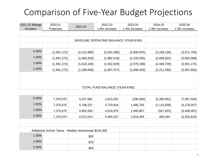## Comparison of Five-Year Budget Projections

| 2021-22 Millage | 2020-21       | 2021-22                                              | 2022-23                               | 2023-24       | 2024-25       | 2025-26       |
|-----------------|---------------|------------------------------------------------------|---------------------------------------|---------------|---------------|---------------|
| Increase        | Projected     |                                                      | 1.9% increase                         | 1.9% increase | 1.9% increase | 1.9% increase |
|                 |               |                                                      |                                       |               |               |               |
|                 |               |                                                      | BASELINE OPERATING BALANCE (YEAR-END) |               |               |               |
|                 |               |                                                      |                                       |               |               |               |
| 0.00%           | (1, 941, 272) | (2, 212, 989)                                        | (2,544,399)                           | (2,809,975)   | (3, 199, 158) | (3,671,703)   |
| 1.50%           | (1,941,272)   | (1,664,433)                                          | (1,982,419)                           | (2, 233, 035) | (2,606,622)   | (3,063,368)   |
| 1.90%           | (1,941,272)   | (1,518,165)                                          | (1,832,529)                           | (2,079,169)   | (2, 448, 729) | (2,901,175)   |
| 2.50%           | (1,941,272)   | (1, 298, 656)                                        | (1,607,477)                           | (1,848,043)   | (2, 211, 450) | (2,657,663)   |
|                 |               |                                                      | TOTAL FUND BALANCE (YEAR-END)         |               |               |               |
|                 |               |                                                      |                                       |               |               |               |
| 0.00%           | 7,370,670     | 5, 157, 681                                          | 2,613,282                             | (196, 693)    | (3, 395, 851) | (7,067,554)   |
| 1.50%           | 7,370,670     | 5,706,237                                            | 3,723,818                             | 1,490,783     | (1, 115, 839) | (4, 179, 207) |
| 1.90%           | 7,370,670     | 5,852,505                                            | 4,019,976                             | 1,940,807     | (507, 922)    | (3,409,097)   |
| 2.50%           | 7,370,670     | 6,072,014                                            | 4,464,537                             | 2,616,494     | 405,044       | (2, 252, 619) |
|                 |               |                                                      |                                       |               |               |               |
|                 |               | Additional School Taxes - Median Homestead \$216,400 |                                       |               |               |               |
| 1.50%           |               | \$55                                                 |                                       |               |               |               |
| 1.90%           |               | \$70                                                 |                                       |               |               |               |
| 2.50%           |               | \$92                                                 |                                       |               |               |               |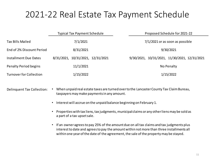#### 2021-22 Real Estate Tax Payment Schedule

|                                | <b>Typical Tax Payment Schedule</b> | Proposed Schedule for 2021-22                 |
|--------------------------------|-------------------------------------|-----------------------------------------------|
| <b>Tax Bills Mailed</b>        | 7/1/2021                            | 7/1/2021 or as soon as possible               |
| End of 2% Discount Period      | 8/31/2021                           | 9/30/2021                                     |
| Installment Due Dates          | 8/31/2021, 10/31/2021, 12/31/2021   | 9/30/2021, 10/31/2021, 11/30/2021, 12/31/2021 |
| <b>Penalty Period begins</b>   | 11/1/2021                           | No Penalty                                    |
| <b>Turnover for Collection</b> | 1/15/2022                           | 1/15/2022                                     |

- Delinquent Tax Collection: When unpaid real estate taxes are turned over to the Lancaster County Tax Claim Bureau, taxpayers may make paymentsin any amount.
	- Interest will accrue on the unpaid balance beginning on February 1.
	- Properties with tax liens, tax judgments, municipal claims or any other liens may be sold as a part of a tax upset sale.
	- If an owner agrees to pay 25% of the amount due on all tax claims and tax judgments plus interest to date and agrees to pay the amount within not more than three installments all within one year of the date of the agreement, the sale of the property may be stayed.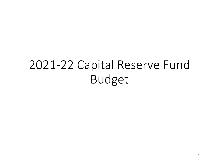# 2021-22 Capital Reserve Fund Budget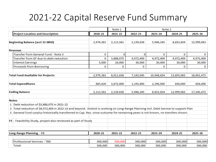## 2021-22 Capital Reserve Fund Summary

|                                                                                                                                       |           | Note 1    | Note 2    |            |            |             |
|---------------------------------------------------------------------------------------------------------------------------------------|-----------|-----------|-----------|------------|------------|-------------|
| <b>Project Location and Description</b>                                                                                               | 2020-21   | 2021-22   | 2022-23   | 2023-24    | 2024-25    | 2025-26     |
| Beginning Balance (acct 32-0850)                                                                                                      | 2,974,381 | 2,113,561 | 2,139,636 | 5,946,245  | 8,652,654  | 12,999,063  |
| <b>Revenue</b>                                                                                                                        |           |           |           |            |            |             |
| <b>Transfer from General Fund - Note 3</b>                                                                                            | 0         | 0         | $\bf{0}$  | 0          | 0          | $\mathbf 0$ |
| Transfer from GF due to debt reduction                                                                                                | 0         | 3,888,075 | 4,972,409 | 4,972,409  | 4,972,409  | 4,972,409   |
| <b>Interest Earnings</b>                                                                                                              | 5,000     | 10,000    | 30,000    | 30,000     | 30,000     | 30,000      |
| <b>Proceeds from Borrowing</b>                                                                                                        | 0         | 0         | 0         | 0          | 0          | 0           |
| <b>Total Fund Available for Projects:</b>                                                                                             | 2,979,381 | 6,011,636 | 7,142,045 | 10,948,654 | 13,655,063 | 18,001,472  |
| <b>Total Expenditures</b>                                                                                                             | 865,820   | 3,872,000 | 1,195,800 | 2,296,000  | 656,000    | 656,000     |
| <b>Ending Balance</b>                                                                                                                 | 2,113,561 | 2,139,636 | 5,946,245 | 8,652,654  | 12,999,063 | 17,345,472  |
| <b>Notes</b>                                                                                                                          |           |           |           |            |            |             |
| 1 Debt reduction of \$3,888,075 in 2021-22                                                                                            |           |           |           |            |            |             |
| 2 Total reduction of \$4,972,409 in 2022-23 and beyond. District is working on Long-Range Planning incl. Debt Service to support Plan |           |           |           |            |            |             |
| 3 General fund surplus historically transferred to Cap. Res. since outcome for remaining years is not known, no transfers shown.      |           |           |           |            |            |             |
| FS - Feasibility Study, project also reviewed as part of Study                                                                        |           |           |           |            |            |             |
| Long-Range Planning - FS                                                                                                              | 2020-21   | 2021-22   | 2022-23   | 2023-24    | 2024-25    | 2025-26     |
| Professional Services - TBD                                                                                                           | 500,000   | 500,000   | 500,000   | 500,000    | 500,000    | 500,000     |
| Total:                                                                                                                                | 500,000   | 500,000   | 500,000   | 500,000    | 500,000    | 500,000     |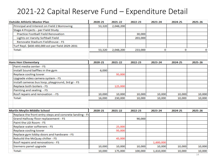| <b>Outside Athletic Master Plan</b>                     | 2020-21 | 2021-22   | 2022-23 | 2023-24   | 2024-25      | 2025-26 |
|---------------------------------------------------------|---------|-----------|---------|-----------|--------------|---------|
| Principal and Interest on Field 2 Borrowing             | 53,320  | 2,048,200 |         |           |              |         |
| Stage 4 Projects - per Field Study                      |         |           |         |           |              |         |
| Practice Football Field Renovation                      |         |           | 30,000  |           |              |         |
| Lights on Varsity Softball Field                        |         |           | 203,000 |           |              |         |
| Renovate Stadium Fieldhouse - FS                        |         |           |         |           |              |         |
| Turf Repl. \$430-450,000 est per field 2029-2031        |         |           |         |           |              |         |
| Total:                                                  | 53,320  | 2,048,200 | 233,000 | 0         | $\mathbf{0}$ | 0       |
| <b>Hans Herr Elementary</b>                             | 2020-21 | 2021-22   | 2022-23 | 2023-24   | 2024-25      | 2025-26 |
| Paint media center - FS                                 |         |           |         |           |              |         |
| Install Sound baffles in the gym                        | 6,000   |           |         |           |              |         |
| Replace cooling tower                                   |         | 95,000    |         |           |              |         |
| Upgrade video camera system - FS                        |         |           |         |           |              |         |
| Install cameras bus loop, playground, 3rd gr - FS       |         |           |         |           |              |         |
| Replace both boilers - FS                               |         | 125,000   |         |           |              |         |
| Painting and sealing - FS                               |         |           |         |           |              |         |
| Roof repairs and renovation - FS                        | 10,000  | 10,000    | 10,000  | 10,000    | 10,000       | 10,000  |
| Total:                                                  | 16,000  | 230,000   | 10,000  | 10,000    | 10,000       | 10,000  |
| <b>Martin Meylin Middle School</b>                      | 2020-21 | 2021-22   | 2022-23 | 2023-24   | 2024-25      | 2025-26 |
| Replace the front entry steps and concrete landing - FS |         |           |         |           |              |         |
| Grand Hallway floor replacement - FS                    |         |           | 90,000  |           |              |         |
| Paint the LGI Room - FS                                 |         |           |         |           |              |         |
| Replace water softeners - FS                            |         | 25,000    |         |           |              |         |
| Replace cooling tower                                   |         | 95,000    |         |           |              |         |
| Replace gym lobby doors and hardware - FS               |         |           |         |           |              |         |
| Rebuild the McQuay chiller - FS                         |         | 45,000    |         |           |              |         |
| Roof repairs and renovations - FS                       |         |           |         | 1,600,000 |              |         |
| Siemens panel upgrade                                   | 10,000  | 10,000    | 10,000  | 10,000    | 10,000       | 10,000  |
| Total:                                                  | 10,000  | 175,000   | 100,000 | 1,610,000 | 10,000       | 10,000  |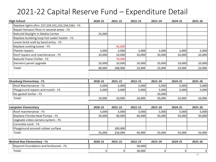| <b>High School</b>                                | 2020-21 | 2021-22 | 2022-23 | 2023-24 | 2024-25 | 2025-26 |
|---------------------------------------------------|---------|---------|---------|---------|---------|---------|
| Replace lights (Rm: 227,229,231,233,234,236) - FS |         |         |         |         |         |         |
| Repair terrazzo floor in several areas - FS       |         |         |         |         |         |         |
| Rebuild Skylight in Media Center                  | 25,000  |         |         |         |         |         |
| Replace building loop hot water heater - FS       |         |         |         |         |         |         |
| Lower brick wall by band entry - FS               |         |         |         |         |         |         |
| Replace cooling tower - FS                        |         | 95,000  |         |         |         |         |
| Plaster repairs                                   | 3,000   | 3,000   | 3,000   | 3,000   | 3,000   | 3,000   |
| Roof repairs and maintenance - FS                 | 10,000  | 10,000  | 10,000  | 10,000  | 10,000  | 10,000  |
| <b>Rebuild Trane Chiller - FS</b>                 |         | 70,000  |         |         |         |         |
| Siemens panel upgrade                             | 10,000  | 10,000  | 10,000  | 10,000  | 10,000  | 10,000  |
| Total:                                            | 48,000  | 188,000 | 23,000  | 23,000  | 23,000  | 23,000  |
|                                                   |         |         |         |         |         |         |
|                                                   |         |         |         |         |         |         |
| <b>Strasburg Elementary - FS</b>                  | 2020-21 | 2021-22 | 2022-23 | 2023-24 | 2024-25 | 2025-26 |
| Roof Maintenance - FS                             | 5,000   | 5,000   | 5,000   | 5,000   | 5,000   | 5,000   |
| Playground repairs and mulch - FS                 | 5,000   | 5,000   | 5,000   | 5,000   | 5,000   | 5,000   |
| Re-gasket boiler - FS                             |         |         |         | 10,000  |         |         |
| Total:                                            | 10,000  | 10,000  | 10,000  | 20,000  | 10,000  | 10,000  |
| <b>Lampeter Elementary</b>                        | 2020-21 | 2021-22 | 2022-23 | 2023-24 | 2024-25 | 2025-26 |
| Roof maintenance - FS                             | 5,000   | 5,000   | 5,000   | 5,000   | 5,000   | 5,000   |
| Replace Florida Heat Pumps - FS                   | 30,000  | 40,000  | 40,000  | 50,000  | 50,000  | 50,000  |
| Upgrade video camera system - FS                  |         |         |         |         |         |         |
| Concrete work - FS                                |         |         |         |         |         |         |
| Playground poured rubber surface                  |         | 189,000 |         |         |         |         |
| Total:                                            | 35,000  | 234,000 | 45,000  | 55,000  | 55,000  | 55,000  |
|                                                   |         |         |         |         |         |         |
| <b>Walnut Run Elementary - FS</b>                 | 2020-21 | 2021-22 | 2022-23 | 2023-24 | 2024-25 | 2025-26 |
| Repoint foundation and brickwork - FS             |         |         | 36,000  |         |         |         |
| Total:                                            | 0       | 0       | 36,000  | 0       | 0       | 0       |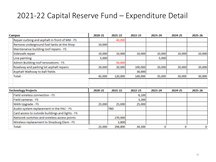| <b>Campus</b>                                    | 2020-21 | 2021-22 | 2022-23 | 2023-24 | 2024-25 | 2025-26 |
|--------------------------------------------------|---------|---------|---------|---------|---------|---------|
| Repair curbing and asphalt in front of MM - FS   |         | 40,000  |         |         |         |         |
| Remove underground fuel tanks at the Shop        | 10,000  |         |         |         |         |         |
| Maintenance building roof repairs - FS           |         |         |         |         |         |         |
| Sidewalk repair                                  | 10,000  | 10,000  | 10,000  | 10,000  | 10,000  | 10,000  |
| Line painting                                    | 5,000   |         |         | 5,000   |         |         |
| Admin Building roof renovations - FS             |         | 50,000  |         |         |         |         |
| Roadway and parking lot asphalt repairs          | 20,000  | 20,000  | 100,000 | 20,000  | 20,000  | 20,000  |
| Asphalt Walkway to ball fields                   |         |         | 30,000  |         |         |         |
| Total:                                           | 45,000  | 120,000 | 140,000 | 35,000  | 30,000  | 30,000  |
|                                                  |         |         |         |         |         |         |
|                                                  |         |         |         |         |         |         |
| <b>Technology Projects</b>                       | 2020-21 | 2021-22 | 2022-23 | 2023-24 | 2024-25 | 2025-26 |
| Field wireless connection - FS                   |         |         | 6,100   |         |         |         |
| Field cameras - FS                               |         |         | 3,200   |         |         |         |
| WAN Upgrade - FS                                 | 25,000  | 25,000  | 25,000  |         |         |         |
| Audio system replacement in the PAC - FS         |         | TBD     |         |         |         |         |
| Card access to outside buildings and lights - FS |         |         |         |         |         |         |
| Network switches and wireless access points      |         | 270,000 |         |         |         |         |
| Wireless replacement to Strasburg Elem - FS      |         | 3,800   |         |         |         |         |
| Total:                                           | 25,000  | 298,800 | 34,300  | 0       | 0       | 0       |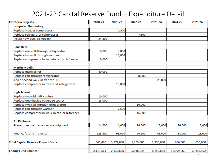| <b>Cafeteria Projects</b>                       | 2020-21   | 2021-22   | 2022-23   | 2023-24   | 2024-25    | 2025-26    |
|-------------------------------------------------|-----------|-----------|-----------|-----------|------------|------------|
| <b>Lampeter Elementary</b>                      |           |           |           |           |            |            |
| Replace freezer compressor                      |           | 7,500     |           |           |            |            |
| Replace refrigerator compressor                 |           |           | 7,500     |           |            |            |
| Install new outside freezer                     | 24,500    |           |           |           |            |            |
| <b>Hans Herr</b>                                |           |           |           |           |            |            |
| Replace one roll-through refrigerator           | 8,000     | 8,000     |           |           |            |            |
| Replace two roll through warmers                |           | 16,000    |           |           |            |            |
| Replace compressor in walk-in refrig. & freezer | 9,000     |           |           |           |            |            |
| <b>Martin Meylin</b>                            |           |           |           |           |            |            |
| Replace dishwasher                              | 40,000    |           |           |           |            |            |
| Replace roll-through refrigerator               |           |           | 8,000     |           |            |            |
| Add a second walk-in freezer - FS               |           |           |           | 25,000    |            |            |
| Replace compressor in freezer & refrigerator    |           | 15,000    |           |           |            |            |
| <b>High School</b>                              |           |           |           |           |            |            |
| Replace two old milk coolers                    | 10,000    |           |           |           |            |            |
| Replace one display beverage cooler             | 18,000    |           |           |           |            |            |
| Replace two roll-through refrigerators          |           |           | 16,000    |           |            |            |
| Replace roll-through warmer                     |           | 7,500     |           |           |            |            |
| Replace compressor in walk-in cooler & freezer  |           |           | 15,000    |           |            |            |
| <b>All Kitchens</b>                             |           |           |           |           |            |            |
| Preventive maintenance on equipment             | 14,000    | 14,000    | 18,000    | 18,000    | 18,000     | 18,000     |
| <b>Total Cafeteria Projects:</b>                | 123,500   | 68,000    | 64,500    | 43,000    | 18,000     | 18,000     |
| <b>Total Capital Reserve Project Costs:</b>     | 865,820   | 3,872,000 | 1,195,800 | 2,296,000 | 656,000    | 656,000    |
| <b>Ending Fund Balance:</b>                     | 2,113,561 | 2,139,636 | 5,946,245 | 8,652,654 | 12,999,063 | 17,345,472 |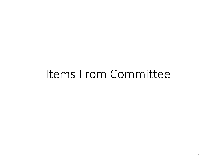# Items From Committee